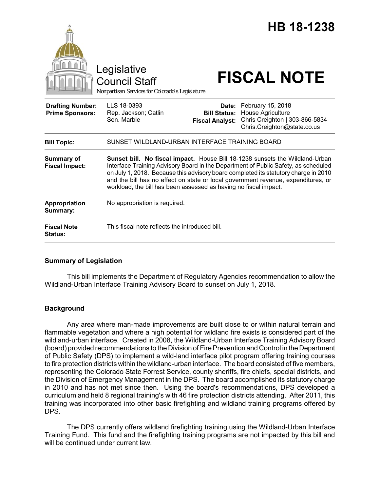|                                                   | Legislative<br><b>Council Staff</b><br>Nonpartisan Services for Colorado's Legislature                                                                                                                                                                                                                                                                                                                             |                                                        | <b>HB 18-1238</b><br><b>FISCAL NOTE</b>                                                                 |
|---------------------------------------------------|--------------------------------------------------------------------------------------------------------------------------------------------------------------------------------------------------------------------------------------------------------------------------------------------------------------------------------------------------------------------------------------------------------------------|--------------------------------------------------------|---------------------------------------------------------------------------------------------------------|
| <b>Drafting Number:</b><br><b>Prime Sponsors:</b> | LLS 18-0393<br>Rep. Jackson; Catlin<br>Sen. Marble                                                                                                                                                                                                                                                                                                                                                                 | Date:<br><b>Bill Status:</b><br><b>Fiscal Analyst:</b> | February 15, 2018<br>House Agriculture<br>Chris Creighton   303-866-5834<br>Chris.Creighton@state.co.us |
| <b>Bill Topic:</b>                                | SUNSET WILDLAND-URBAN INTERFACE TRAINING BOARD                                                                                                                                                                                                                                                                                                                                                                     |                                                        |                                                                                                         |
| Summary of<br><b>Fiscal Impact:</b>               | Sunset bill. No fiscal impact. House Bill 18-1238 sunsets the Wildland-Urban<br>Interface Training Advisory Board in the Department of Public Safety, as scheduled<br>on July 1, 2018. Because this advisory board completed its statutory charge in 2010<br>and the bill has no effect on state or local government revenue, expenditures, or<br>workload, the bill has been assessed as having no fiscal impact. |                                                        |                                                                                                         |
| Appropriation<br>Summary:                         | No appropriation is required.                                                                                                                                                                                                                                                                                                                                                                                      |                                                        |                                                                                                         |
| <b>Fiscal Note</b><br><b>Status:</b>              | This fiscal note reflects the introduced bill.                                                                                                                                                                                                                                                                                                                                                                     |                                                        |                                                                                                         |

# **Summary of Legislation**

This bill implements the Department of Regulatory Agencies recommendation to allow the Wildland-Urban Interface Training Advisory Board to sunset on July 1, 2018.

# **Background**

Any area where man-made improvements are built close to or within natural terrain and flammable vegetation and where a high potential for wildland fire exists is considered part of the wildland-urban interface. Created in 2008, the Wildland-Urban Interface Training Advisory Board (board) provided recommendations to the Division of Fire Prevention and Control in the Department of Public Safety (DPS) to implement a wild-land interface pilot program offering training courses to fire protection districts within the wildland-urban interface. The board consisted of five members, representing the Colorado State Forrest Service, county sheriffs, fire chiefs, special districts, and the Division of Emergency Management in the DPS. The board accomplished its statutory charge in 2010 and has not met since then. Using the board's recommendations, DPS developed a curriculum and held 8 regional training's with 46 fire protection districts attending. After 2011, this training was incorporated into other basic firefighting and wildland training programs offered by DPS.

The DPS currently offers wildland firefighting training using the Wildland-Urban Interface Training Fund. This fund and the firefighting training programs are not impacted by this bill and will be continued under current law.